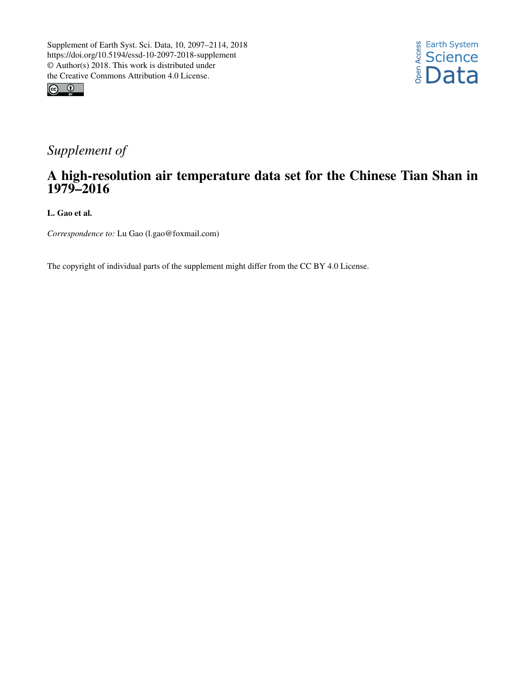



## *Supplement of*

## A high-resolution air temperature data set for the Chinese Tian Shan in 1979–2016

L. Gao et al.

*Correspondence to:* Lu Gao (l.gao@foxmail.com)

The copyright of individual parts of the supplement might differ from the CC BY 4.0 License.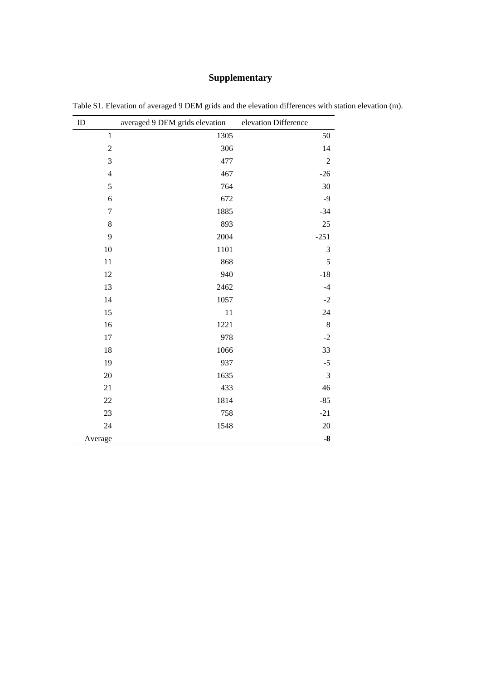## **Supplementary**

| ID               | averaged 9 DEM grids elevation | elevation Difference |
|------------------|--------------------------------|----------------------|
| $\mathbf{1}$     | 1305                           | 50                   |
| $\overline{2}$   | 306                            | 14                   |
| $\mathfrak{Z}$   | 477                            | $\mathfrak 2$        |
| $\overline{4}$   | 467                            | $-26$                |
| 5                | 764                            | 30                   |
| $\sqrt{6}$       | 672                            | $-9$                 |
| $\boldsymbol{7}$ | 1885                           | $-34$                |
| $\,8\,$          | 893                            | 25                   |
| 9                | 2004                           | $-251$               |
| 10               | 1101                           | 3                    |
| 11               | 868                            | 5                    |
| 12               | 940                            | $-18$                |
| 13               | 2462                           | $-4$                 |
| 14               | 1057                           | $-2$                 |
| 15               | 11                             | 24                   |
| 16               | 1221                           | $\,8\,$              |
| 17               | 978                            | $-2$                 |
| 18               | 1066                           | 33                   |
| 19               | 937                            | $-5$                 |
| 20               | 1635                           | 3                    |
| 21               | 433                            | 46                   |
| 22               | 1814                           | $-85$                |
| 23               | 758                            | $-21$                |
| 24               | 1548                           | $20\,$               |
| Average          |                                | $-8$                 |

Table S1. Elevation of averaged 9 DEM grids and the elevation differences with station elevation (m).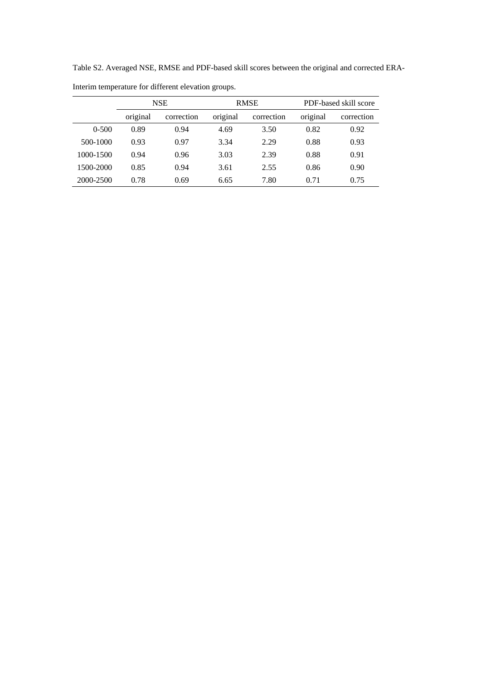Table S2. Averaged NSE, RMSE and PDF-based skill scores between the original and corrected ERA-

|           | <b>NSE</b> |            | <b>RMSE</b> |            | PDF-based skill score |            |
|-----------|------------|------------|-------------|------------|-----------------------|------------|
|           | original   | correction | original    | correction | original              | correction |
| $0 - 500$ | 0.89       | 0.94       | 4.69        | 3.50       | 0.82                  | 0.92       |
| 500-1000  | 0.93       | 0.97       | 3.34        | 2.29       | 0.88                  | 0.93       |
| 1000-1500 | 0.94       | 0.96       | 3.03        | 2.39       | 0.88                  | 0.91       |
| 1500-2000 | 0.85       | 0.94       | 3.61        | 2.55       | 0.86                  | 0.90       |
| 2000-2500 | 0.78       | 0.69       | 6.65        | 7.80       | 0.71                  | 0.75       |

Interim temperature for different elevation groups.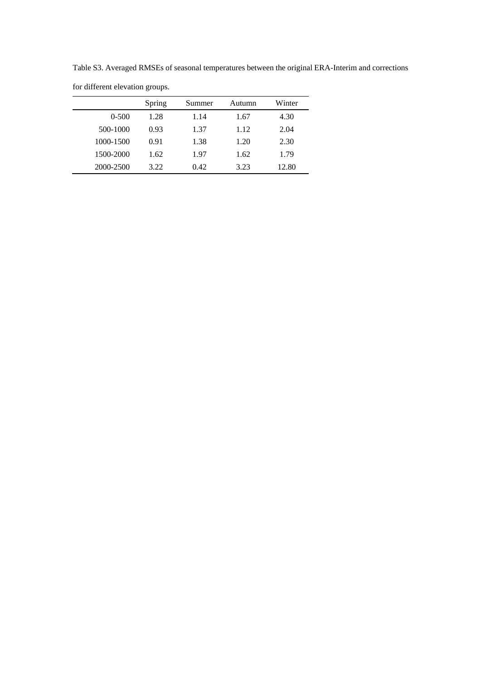for different elevation groups. Spring Summer Autumn Winter 0-500 1.28 1.14 1.67 4.30 500-1000 0.93 1.37 1.12 2.04 1000-1500 0.91 1.38 1.20 2.30 1500-2000 1.62 1.97 1.62 1.79 2000-2500 3.22 0.42 3.23 12.80

Table S3. Averaged RMSEs of seasonal temperatures between the original ERA-Interim and corrections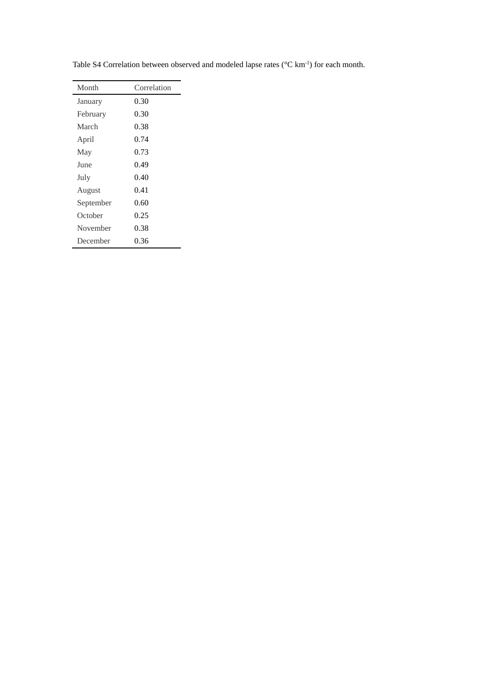| Month     | Correlation |  |  |
|-----------|-------------|--|--|
| January   | 0.30        |  |  |
| February  | 0.30        |  |  |
| March     | 0.38        |  |  |
| April     | 0.74        |  |  |
| May       | 0.73        |  |  |
| June      | 0.49        |  |  |
| July      | 0.40        |  |  |
| August    | 0.41        |  |  |
| September | 0.60        |  |  |
| October   | 0.25        |  |  |
| November  | 0.38        |  |  |
| December  | 0.36        |  |  |

Table S4 Correlation between observed and modeled lapse rates ( $\mathbb C$  km<sup>-1</sup>) for each month.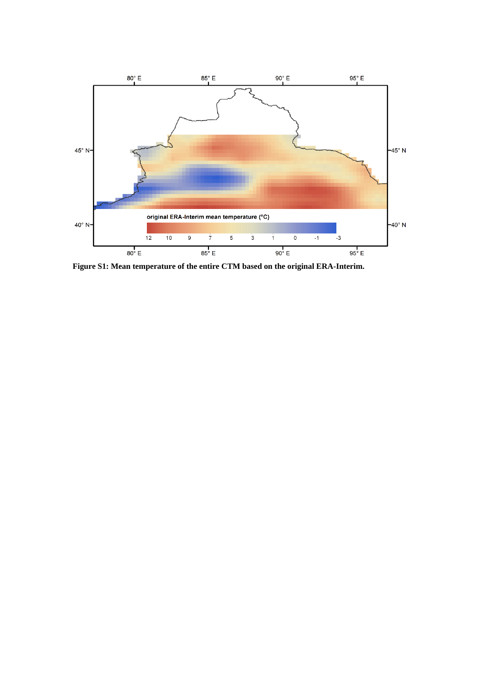

**Figure S1: Mean temperature of the entire CTM based on the original ERA-Interim.**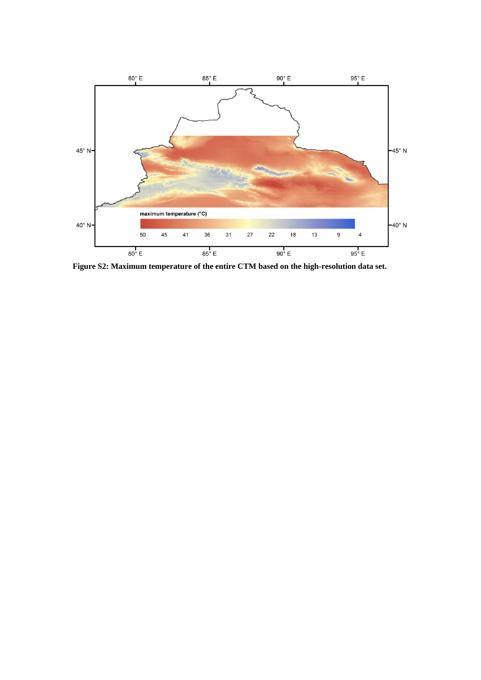

**Figure S2: Maximum temperature of the entire CTM based on the high-resolution data set.**